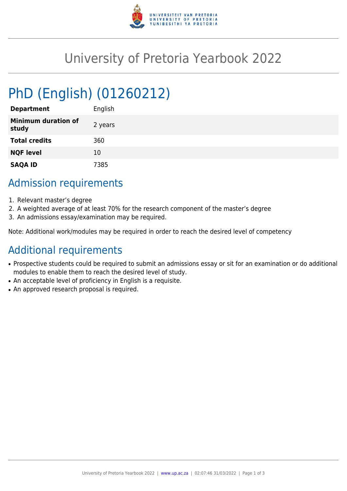

## University of Pretoria Yearbook 2022

# PhD (English) (01260212)

| <b>Department</b>                   | English |
|-------------------------------------|---------|
| <b>Minimum duration of</b><br>study | 2 years |
| <b>Total credits</b>                | 360     |
| <b>NQF level</b>                    | 10      |
| <b>SAQA ID</b>                      | 7385    |

#### Admission requirements

- 1. Relevant master's degree
- 2. A weighted average of at least 70% for the research component of the master's degree
- 3. An admissions essay/examination may be required.

Note: Additional work/modules may be required in order to reach the desired level of competency

## Additional requirements

- Prospective students could be required to submit an admissions essay or sit for an examination or do additional modules to enable them to reach the desired level of study.
- An acceptable level of proficiency in English is a requisite.
- An approved research proposal is required.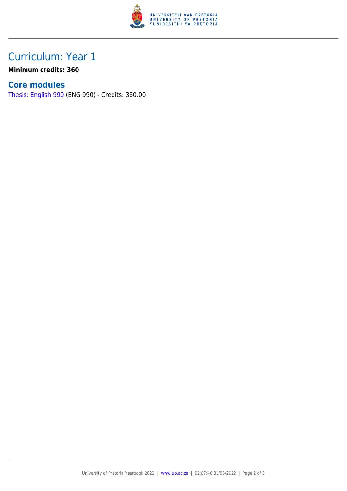

### Curriculum: Year 1

**Minimum credits: 360**

#### **Core modules**

[Thesis: English 990](https://www.up.ac.za/faculty-of-education/yearbooks/2022/modules/view/ENG 990) (ENG 990) - Credits: 360.00